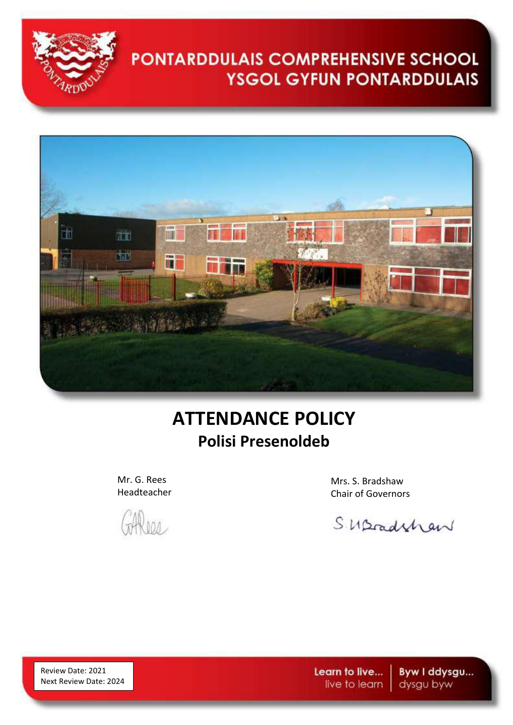



## **ATTENDANCE POLICY Polisi Presenoldeb**

Mr. G. Rees Headteacher

 $M$ 

Mrs. S. Bradshaw Chair of Governors

Suscedition

Review Date: 2021 Next Review Date: 2024 Learn to live... live to learn

Byw I ddysgu... dysgu byw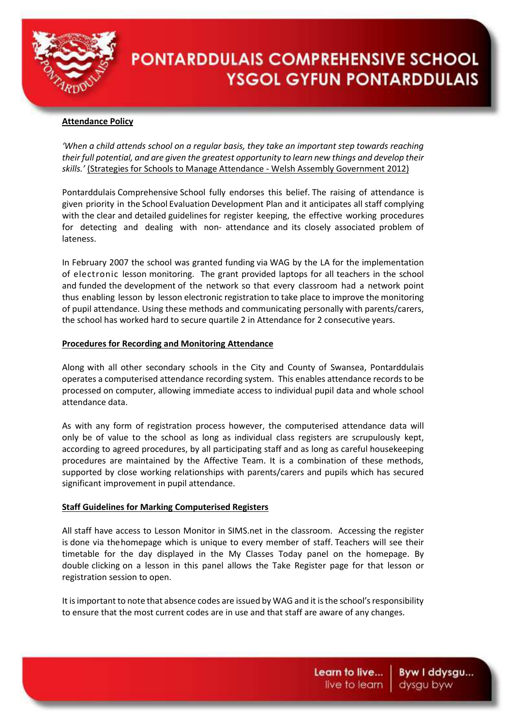

## **Attendance Policy**

*'When a child attends school on a regular basis, they take an important step towards reaching their full potential, and are given the greatest opportunity to learn new things and develop their skills.'* (Strategies for Schools to Manage Attendance - Welsh Assembly Government 2012)

Pontarddulais Comprehensive School fully endorses this belief. The raising of attendance is given priority in the School Evaluation Development Plan and it anticipates all staff complying with the clear and detailed guidelines for register keeping, the effective working procedures for detecting and dealing with non- attendance and its closely associated problem of lateness.

In February 2007 the school was granted funding via WAG by the LA for the implementation of electronic lesson monitoring. The grant provided laptops for all teachers in the school and funded the development of the network so that every classroom had a network point thus enabling lesson by lesson electronic registration to take place to improve the monitoring of pupil attendance. Using these methods and communicating personally with parents/carers, the school has worked hard to secure quartile 2 in Attendance for 2 consecutive years.

## **Procedures for Recording and Monitoring Attendance**

Along with all other secondary schools in the City and County of Swansea, Pontarddulais operates a computerised attendance recording system. This enables attendance records to be processed on computer, allowing immediate access to individual pupil data and whole school attendance data.

As with any form of registration process however, the computerised attendance data will only be of value to the school as long as individual class registers are scrupulously kept, according to agreed procedures, by all participating staff and as long as careful housekeeping procedures are maintained by the Affective Team. It is a combination of these methods, supported by close working relationships with parents/carers and pupils which has secured significant improvement in pupil attendance.

## **Staff Guidelines for Marking Computerised Registers**

All staff have access to Lesson Monitor in SIMS.net in the classroom. Accessing the register is done via thehomepage which is unique to every member of staff. Teachers will see their timetable for the day displayed in the My Classes Today panel on the homepage. By double clicking on a lesson in this panel allows the Take Register page for that lesson or registration session to open.

It is important to note that absence codes are issued by WAG and it is the school's responsibility to ensure that the most current codes are in use and that staff are aware of any changes.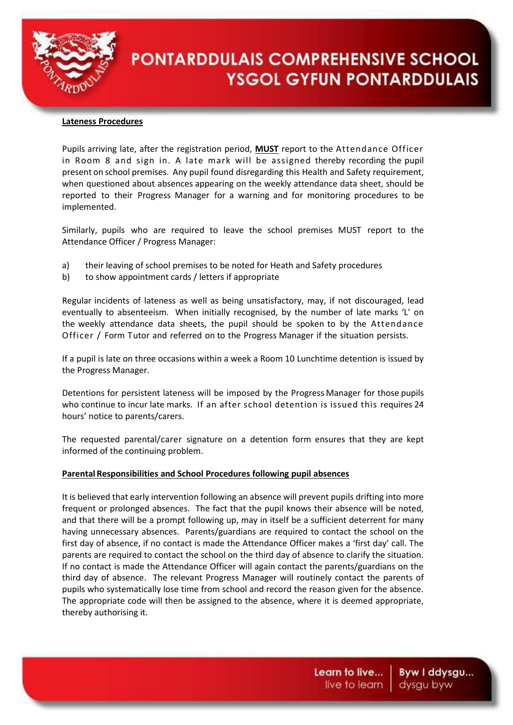

#### **Lateness Procedures**

Pupils arriving late, after the registration period, **MUST** report to the Attendance Officer in Room 8 and sign in. A late mark will be assigned thereby recording the pupil present on school premises. Any pupil found disregarding this Health and Safety requirement, when questioned about absences appearing on the weekly attendance data sheet, should be reported to their Progress Manager for a warning and for monitoring procedures to be implemented.

Similarly, pupils who are required to leave the school premises MUST report to the Attendance Officer / Progress Manager:

- a) their leaving of school premises to be noted for Heath and Safety procedures
- b) to show appointment cards / letters if appropriate

Regular incidents of lateness as well as being unsatisfactory, may, if not discouraged, lead eventually to absenteeism. When initially recognised, by the number of late marks 'L' on the weekly attendance data sheets, the pupil should be spoken to by the Attendance Officer / Form Tutor and referred on to the Progress Manager if the situation persists.

If a pupil is late on three occasions within a week a Room 10 Lunchtime detention is issued by the Progress Manager.

Detentions for persistent lateness will be imposed by the Progress Manager for those pupils who continue to incur late marks. If an after school detention is issued this requires 24 hours' notice to parents/carers.

The requested parental/carer signature on a detention form ensures that they are kept informed of the continuing problem.

## **Parental Responsibilities and School Procedures following pupil absences**

It is believed that early intervention following an absence will prevent pupils drifting into more frequent or prolonged absences. The fact that the pupil knows their absence will be noted, and that there will be a prompt following up, may in itself be a sufficient deterrent for many having unnecessary absences. Parents/guardians are required to contact the school on the first day of absence, if no contact is made the Attendance Officer makes a 'first day' call. The parents are required to contact the school on the third day of absence to clarify the situation. If no contact is made the Attendance Officer will again contact the parents/guardians on the third day of absence. The relevant Progress Manager will routinely contact the parents of pupils who systematically lose time from school and record the reason given for the absence. The appropriate code will then be assigned to the absence, where it is deemed appropriate, thereby authorising it.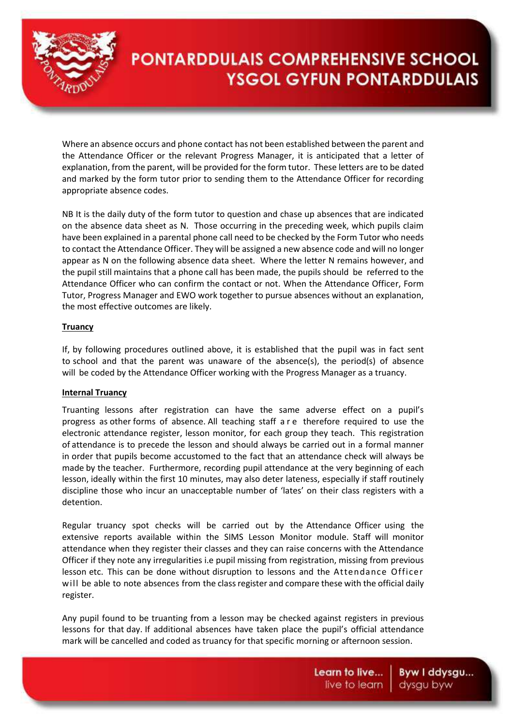

Where an absence occurs and phone contact has not been established between the parent and the Attendance Officer or the relevant Progress Manager, it is anticipated that a letter of explanation, from the parent, will be provided for the form tutor. These letters are to be dated and marked by the form tutor prior to sending them to the Attendance Officer for recording appropriate absence codes.

NB It is the daily duty of the form tutor to question and chase up absences that are indicated on the absence data sheet as N. Those occurring in the preceding week, which pupils claim have been explained in a parental phone call need to be checked by the Form Tutor who needs to contact the Attendance Officer. They will be assigned a new absence code and will no longer appear as N on the following absence data sheet. Where the letter N remains however, and the pupil still maintains that a phone call has been made, the pupils should be referred to the Attendance Officer who can confirm the contact or not. When the Attendance Officer, Form Tutor, Progress Manager and EWO work together to pursue absences without an explanation, the most effective outcomes are likely.

## **Truancy**

If, by following procedures outlined above, it is established that the pupil was in fact sent to school and that the parent was unaware of the absence(s), the period(s) of absence will be coded by the Attendance Officer working with the Progress Manager as a truancy.

## **Internal Truancy**

Truanting lessons after registration can have the same adverse effect on a pupil's progress as other forms of absence. All teaching staff a r e therefore required to use the electronic attendance register, lesson monitor, for each group they teach. This registration of attendance is to precede the lesson and should always be carried out in a formal manner in order that pupils become accustomed to the fact that an attendance check will always be made by the teacher. Furthermore, recording pupil attendance at the very beginning of each lesson, ideally within the first 10 minutes, may also deter lateness, especially if staff routinely discipline those who incur an unacceptable number of 'lates' on their class registers with a detention.

Regular truancy spot checks will be carried out by the Attendance Officer using the extensive reports available within the SIMS Lesson Monitor module. Staff will monitor attendance when they register their classes and they can raise concerns with the Attendance Officer if they note any irregularities i.e pupil missing from registration, missing from previous lesson etc. This can be done without disruption to lessons and the Attendance Officer will be able to note absences from the class register and compare these with the official daily register.

Any pupil found to be truanting from a lesson may be checked against registers in previous lessons for that day. If additional absences have taken place the pupil's official attendance mark will be cancelled and coded as truancy for that specific morning or afternoon session.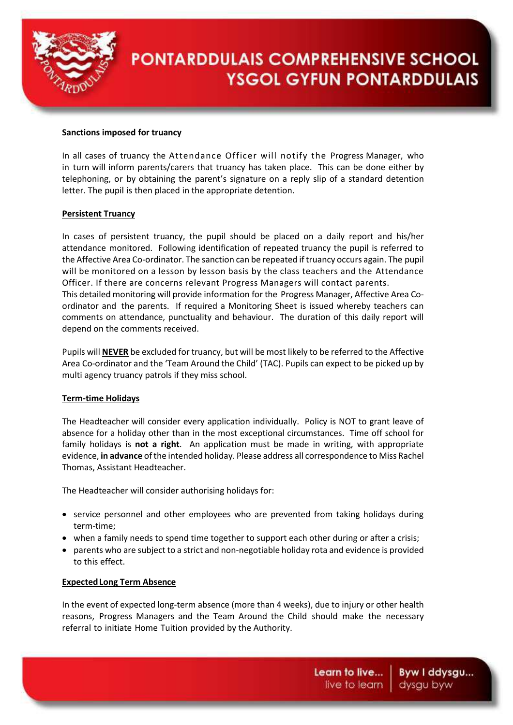

## **Sanctions imposed for truancy**

In all cases of truancy the Attendance Officer will notify the Progress Manager, who in turn will inform parents/carers that truancy has taken place. This can be done either by telephoning, or by obtaining the parent's signature on a reply slip of a standard detention letter. The pupil is then placed in the appropriate detention.

#### **Persistent Truancy**

In cases of persistent truancy, the pupil should be placed on a daily report and his/her attendance monitored. Following identification of repeated truancy the pupil is referred to the Affective Area Co-ordinator. The sanction can be repeated if truancy occurs again. The pupil will be monitored on a lesson by lesson basis by the class teachers and the Attendance Officer. If there are concerns relevant Progress Managers will contact parents. This detailed monitoring will provide information for the Progress Manager, Affective Area Coordinator and the parents. If required a Monitoring Sheet is issued whereby teachers can comments on attendance, punctuality and behaviour. The duration of this daily report will depend on the comments received.

Pupils will **NEVER** be excluded for truancy, but will be most likely to be referred to the Affective Area Co-ordinator and the 'Team Around the Child' (TAC). Pupils can expect to be picked up by multi agency truancy patrols if they miss school.

#### **Term-time Holidays**

The Headteacher will consider every application individually. Policy is NOT to grant leave of absence for a holiday other than in the most exceptional circumstances. Time off school for family holidays is **not a right**. An application must be made in writing, with appropriate evidence, **in advance** of the intended holiday. Please address all correspondence to Miss Rachel Thomas, Assistant Headteacher.

The Headteacher will consider authorising holidays for:

- service personnel and other employees who are prevented from taking holidays during term-time;
- when a family needs to spend time together to support each other during or after a crisis;
- parents who are subject to a strict and non-negotiable holiday rota and evidence is provided to this effect.

#### **ExpectedLong Term Absence**

In the event of expected long-term absence (more than 4 weeks), due to injury or other health reasons, Progress Managers and the Team Around the Child should make the necessary referral to initiate Home Tuition provided by the Authority.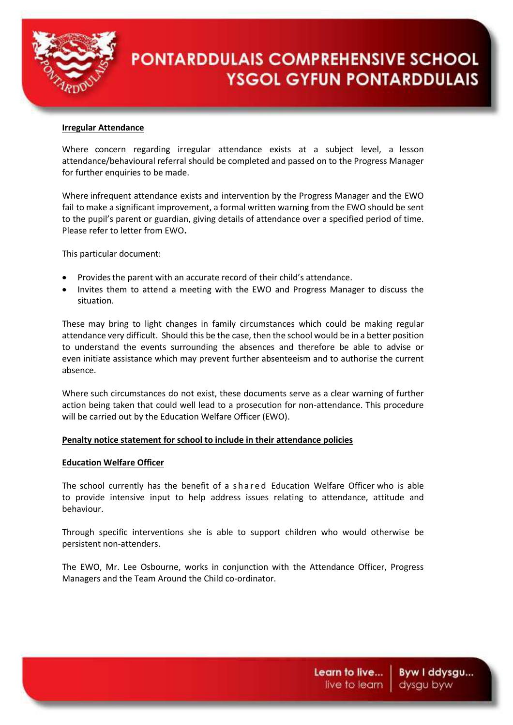

#### **Irregular Attendance**

Where concern regarding irregular attendance exists at a subject level, a lesson attendance/behavioural referral should be completed and passed on to the Progress Manager for further enquiries to be made.

Where infrequent attendance exists and intervention by the Progress Manager and the EWO fail to make a significant improvement, a formal written warning from the EWO should be sent to the pupil's parent or guardian, giving details of attendance over a specified period of time. Please refer to letter from EWO**.**

This particular document:

- Provides the parent with an accurate record of their child's attendance.
- Invites them to attend a meeting with the EWO and Progress Manager to discuss the situation.

These may bring to light changes in family circumstances which could be making regular attendance very difficult. Should this be the case, then the school would be in a better position to understand the events surrounding the absences and therefore be able to advise or even initiate assistance which may prevent further absenteeism and to authorise the current absence.

Where such circumstances do not exist, these documents serve as a clear warning of further action being taken that could well lead to a prosecution for non-attendance. This procedure will be carried out by the Education Welfare Officer (EWO).

## **Penalty notice statement for school to include in their attendance policies**

## **Education Welfare Officer**

The school currently has the benefit of a shared Education Welfare Officer who is able to provide intensive input to help address issues relating to attendance, attitude and behaviour.

Through specific interventions she is able to support children who would otherwise be persistent non-attenders.

The EWO, Mr. Lee Osbourne, works in conjunction with the Attendance Officer, Progress Managers and the Team Around the Child co-ordinator.